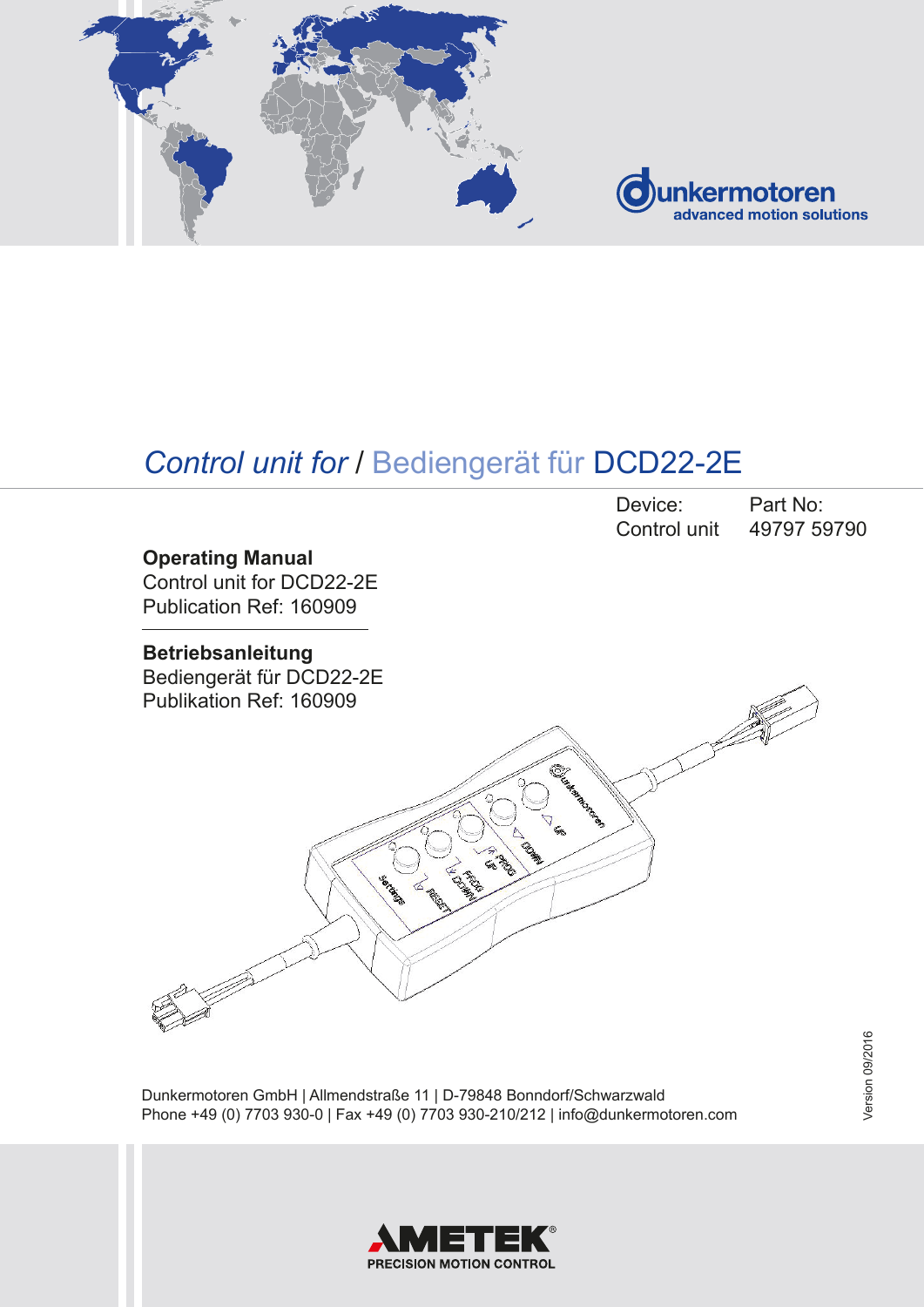



# *Control unit for* / Bediengerät für DCD22-2E

Device: Part No: Control unit 49797 59790

**Operating Manual** Control unit for DCD22-2E Publication Ref: 160909

### **Betriebsanleitung**

Bediengerät für DCD22-2E



Dunkermotoren GmbH | Allmendstraße 11 | D-79848 Bonndorf/Schwarzwald Phone +49 (0) 7703 930-0 | Fax +49 (0) 7703 930-210/212 | info@dunkermotoren.com

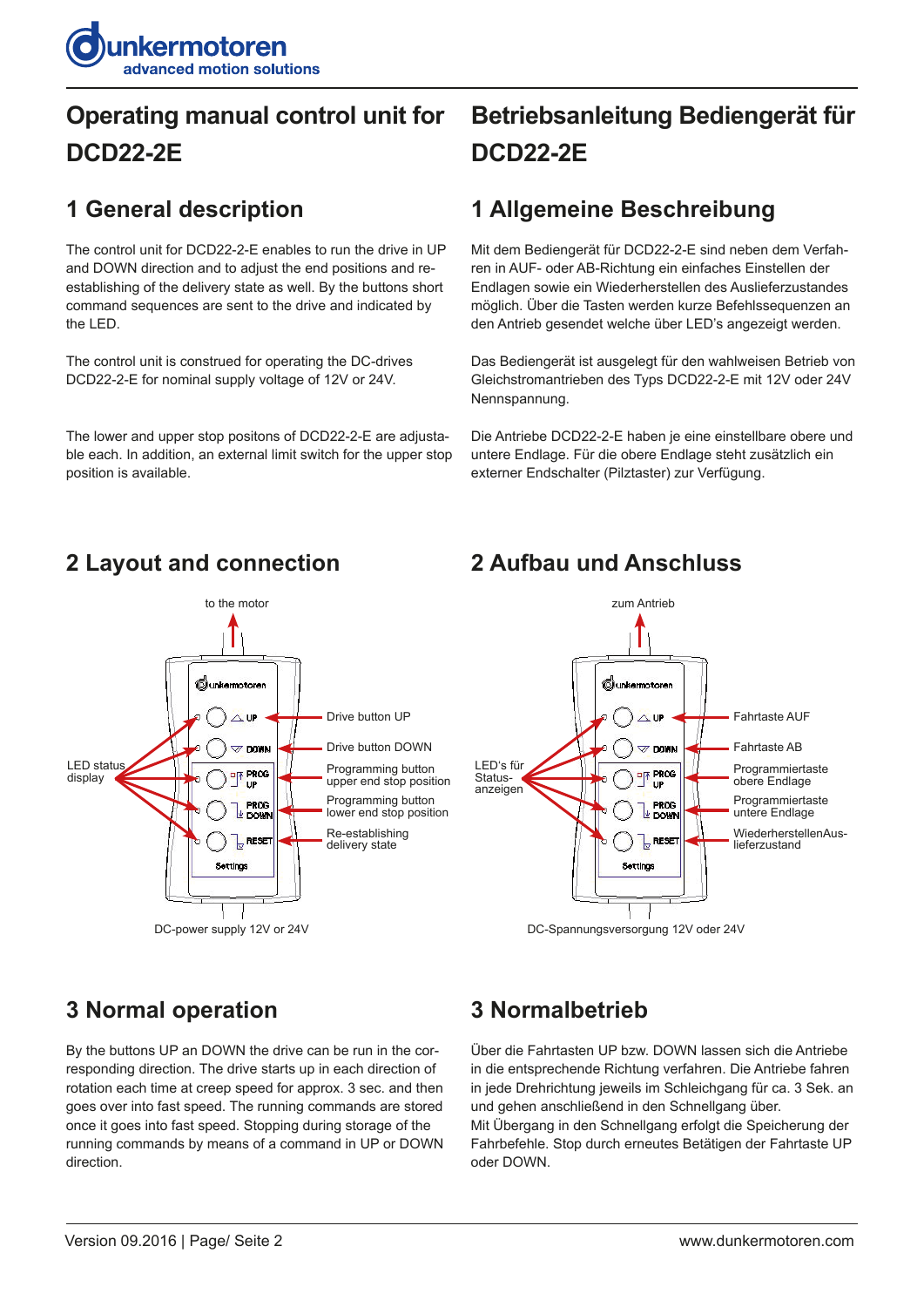

# **Operating manual control unit for DCD22-2E**

# **1 General description**

The control unit for DCD22-2-E enables to run the drive in UP and DOWN direction and to adjust the end positions and reestablishing of the delivery state as well. By the buttons short command sequences are sent to the drive and indicated by the LED.

The control unit is construed for operating the DC-drives DCD22-2-E for nominal supply voltage of 12V or 24V.

The lower and upper stop positons of DCD22-2-E are adjustable each. In addition, an external limit switch for the upper stop position is available.

# **Betriebsanleitung Bediengerät für DCD22-2E**

# **1 Allgemeine Beschreibung**

Mit dem Bediengerät für DCD22-2-E sind neben dem Verfahren in AUF- oder AB-Richtung ein einfaches Einstellen der Endlagen sowie ein Wiederherstellen des Auslieferzustandes möglich. Über die Tasten werden kurze Befehlssequenzen an den Antrieb gesendet welche über LED's angezeigt werden.

Das Bediengerät ist ausgelegt für den wahlweisen Betrieb von Gleichstromantrieben des Typs DCD22-2-E mit 12V oder 24V Nennspannung.

Die Antriebe DCD22-2-E haben je eine einstellbare obere und untere Endlage. Für die obere Endlage steht zusätzlich ein externer Endschalter (Pilztaster) zur Verfügung.

# **2 Layout and connection 2 Aufbau und Anschluss**





# **3 Normal operation**

By the buttons UP an DOWN the drive can be run in the corresponding direction. The drive starts up in each direction of rotation each time at creep speed for approx. 3 sec. and then goes over into fast speed. The running commands are stored once it goes into fast speed. Stopping during storage of the running commands by means of a command in UP or DOWN direction.

# **3 Normalbetrieb**

Über die Fahrtasten UP bzw. DOWN lassen sich die Antriebe in die entsprechende Richtung verfahren. Die Antriebe fahren in jede Drehrichtung jeweils im Schleichgang für ca. 3 Sek. an und gehen anschließend in den Schnellgang über.

Mit Übergang in den Schnellgang erfolgt die Speicherung der Fahrbefehle. Stop durch erneutes Betätigen der Fahrtaste UP oder DOWN.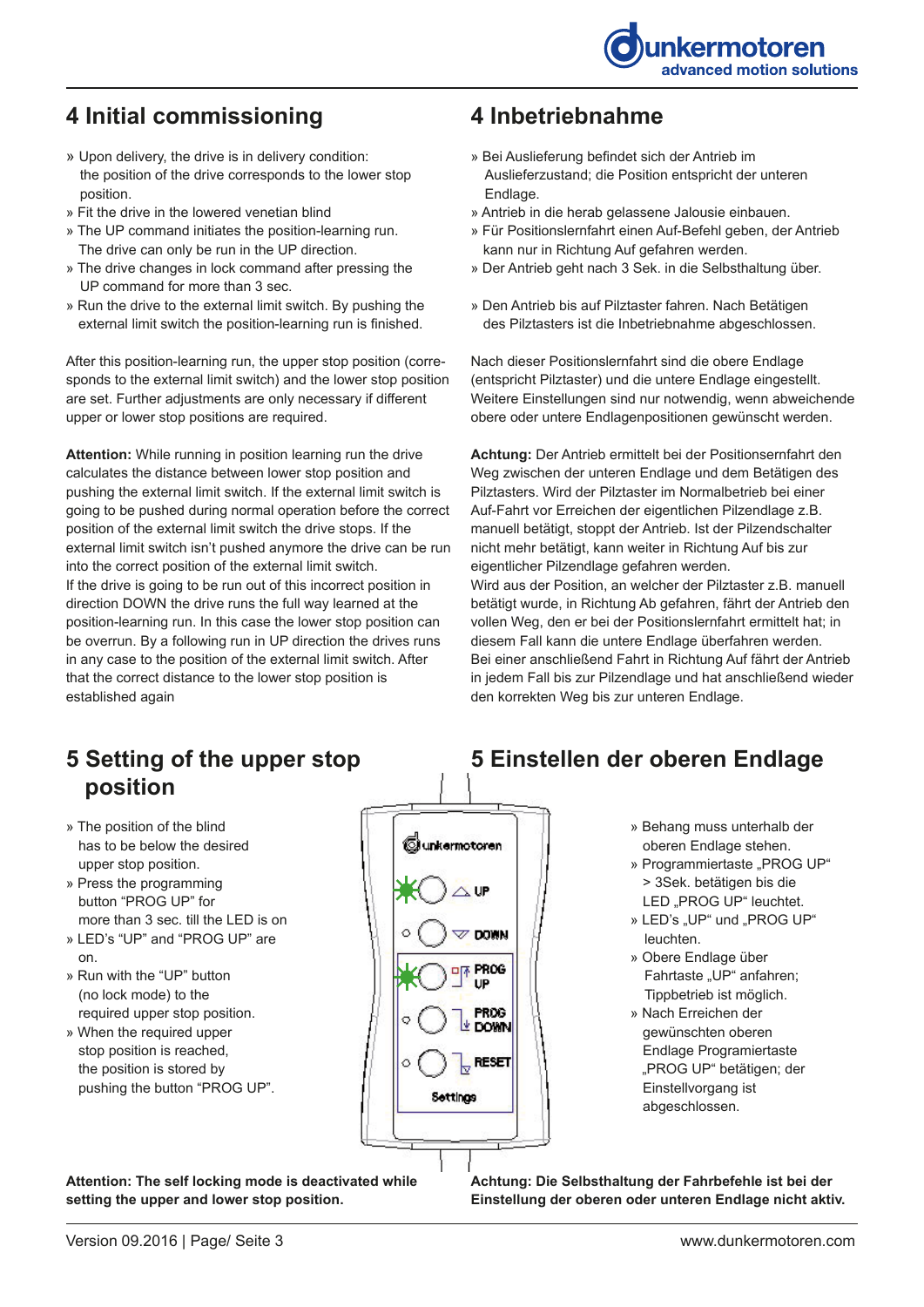# **4 Initial commissioning**

- » Upon delivery, the drive is in delivery condition: the position of the drive corresponds to the lower stop position.
- » Fit the drive in the lowered venetian blind
- » The UP command initiates the position-learning run. The drive can only be run in the UP direction.
- » The drive changes in lock command after pressing the UP command for more than 3 sec.
- » Run the drive to the external limit switch. By pushing the external limit switch the position-learning run is finished.

After this position-learning run, the upper stop position (corresponds to the external limit switch) and the lower stop position are set. Further adjustments are only necessary if different upper or lower stop positions are required.

**Attention:** While running in position learning run the drive calculates the distance between lower stop position and pushing the external limit switch. If the external limit switch is going to be pushed during normal operation before the correct position of the external limit switch the drive stops. If the external limit switch isn't pushed anymore the drive can be run into the correct position of the external limit switch. If the drive is going to be run out of this incorrect position in direction DOWN the drive runs the full way learned at the position-learning run. In this case the lower stop position can be overrun. By a following run in UP direction the drives runs in any case to the position of the external limit switch. After that the correct distance to the lower stop position is established again

# **4 Inbetriebnahme**

- » Bei Auslieferung befindet sich der Antrieb im Auslieferzustand; die Position entspricht der unteren Endlage.
- » Antrieb in die herab gelassene Jalousie einbauen.
- » Für Positionslernfahrt einen Auf-Befehl geben, der Antrieb kann nur in Richtung Auf gefahren werden.
- » Der Antrieb geht nach 3 Sek. in die Selbsthaltung über.
- » Den Antrieb bis auf Pilztaster fahren. Nach Betätigen des Pilztasters ist die Inbetriebnahme abgeschlossen.

Nach dieser Positionslernfahrt sind die obere Endlage (entspricht Pilztaster) und die untere Endlage eingestellt. Weitere Einstellungen sind nur notwendig, wenn abweichende obere oder untere Endlagenpositionen gewünscht werden.

**Achtung:** Der Antrieb ermittelt bei der Positionsernfahrt den Weg zwischen der unteren Endlage und dem Betätigen des Pilztasters. Wird der Pilztaster im Normalbetrieb bei einer Auf-Fahrt vor Erreichen der eigentlichen Pilzendlage z.B. manuell betätigt, stoppt der Antrieb. Ist der Pilzendschalter nicht mehr betätigt, kann weiter in Richtung Auf bis zur eigentlicher Pilzendlage gefahren werden. Wird aus der Position, an welcher der Pilztaster z.B. manuell betätigt wurde, in Richtung Ab gefahren, fährt der Antrieb den vollen Weg, den er bei der Positionslernfahrt ermittelt hat; in

diesem Fall kann die untere Endlage überfahren werden. Bei einer anschließend Fahrt in Richtung Auf fährt der Antrieb in jedem Fall bis zur Pilzendlage und hat anschließend wieder den korrekten Weg bis zur unteren Endlage.

## **5 Setting of the upper stop position**

- » The position of the blind has to be below the desired upper stop position.
- » Press the programming button "PROG UP" for more than 3 sec. till the LED is on
- » LED's "UP" and "PROG UP" are on.
- » Run with the "UP" button (no lock mode) to the required upper stop position.
- » When the required upper stop position is reached, the position is stored by pushing the button "PROG UP".

**Attention: The self locking mode is deactivated while setting the upper and lower stop position.**



# **5 Einstellen der oberen Endlage**

- » Behang muss unterhalb der oberen Endlage stehen.
- » Programmiertaste "PROG UP" > 3Sek. betätigen bis die LED "PROG UP" leuchtet.
- » LED's "UP" und "PROG UP" leuchten.
- » Obere Endlage über Fahrtaste "UP" anfahren; Tippbetrieb ist möglich.
- » Nach Erreichen der gewünschten oberen Endlage Programiertaste "PROG UP" betätigen; der Einstellvorgang ist abgeschlossen.

**Achtung: Die Selbsthaltung der Fahrbefehle ist bei der Einstellung der oberen oder unteren Endlage nicht aktiv.**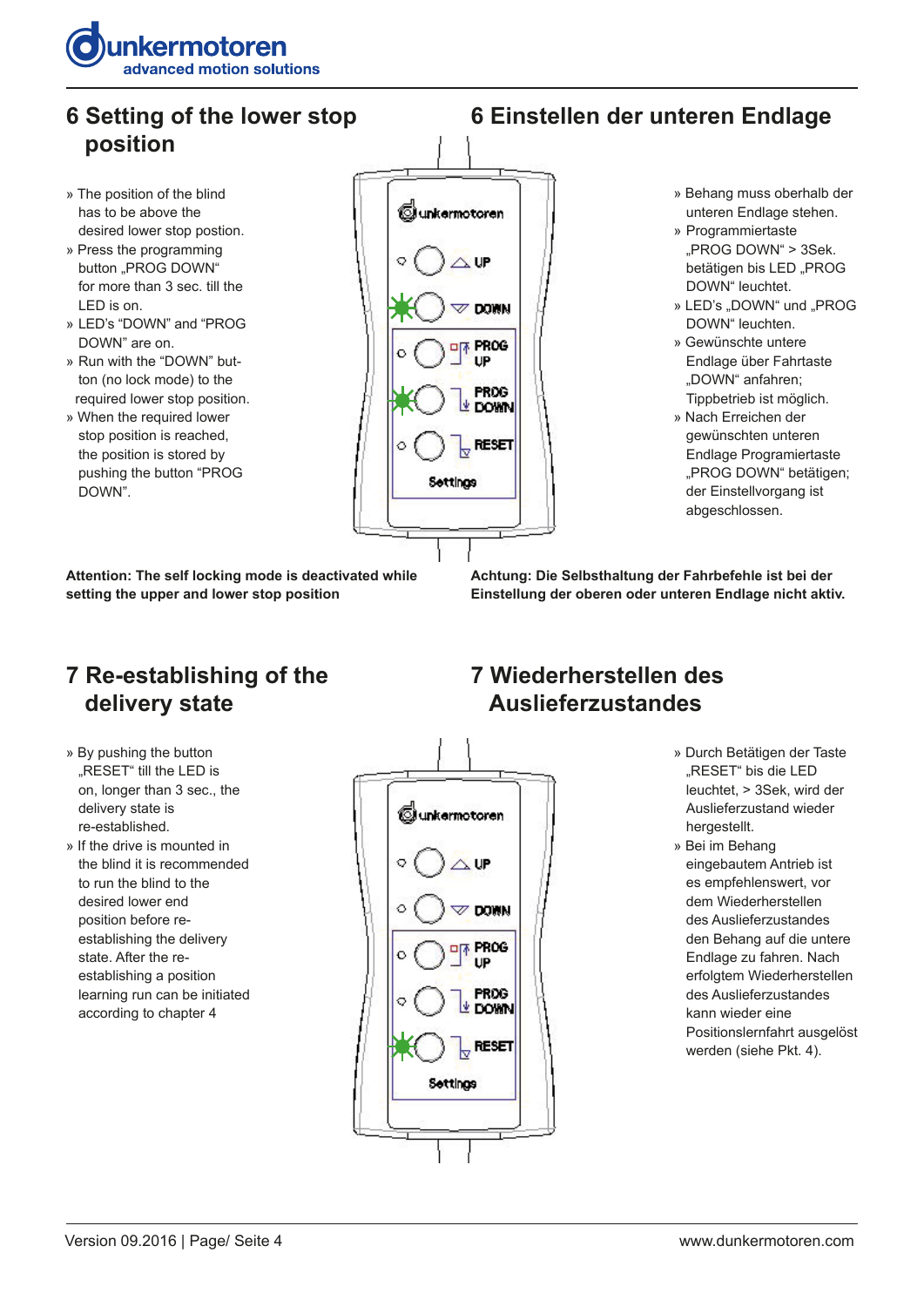

## **6 Setting of the lower stop position**

- » The position of the blind has to be above the desired lower stop postion.
- » Press the programming button "PROG DOWN" for more than 3 sec. till the LED is on.
- » LED's "DOWN" and "PROG DOWN" are on.
- » Run with the "DOWN" button (no lock mode) to the required lower stop position.
- » When the required lower stop position is reached, the position is stored by pushing the button "PROG DOWN".

**Attention: The self locking mode is deactivated while setting the upper and lower stop position**

**Achtung: Die Selbsthaltung der Fahrbefehle ist bei der Einstellung der oberen oder unteren Endlage nicht aktiv.**

- **7 Re-establishing of the delivery state**
- » By pushing the button "RESET" till the LED is on, longer than 3 sec., the delivery state is re-established.
- » If the drive is mounted in the blind it is recommended to run the blind to the desired lower end position before reestablishing the delivery state. After the reestablishing a position learning run can be initiated according to chapter 4



@unkermotoren

 $\sqrt{u}$ 

**DOMN** 

**PROG DOWN** 

**RESET** 

Settings

Ο

**OF PROG** UP

## **7 Wiederherstellen des Auslieferzustandes**

- » Durch Betätigen der Taste "RESET" bis die LED leuchtet, > 3Sek, wird der Auslieferzustand wieder hergestellt.
- » Bei im Behang eingebautem Antrieb ist es empfehlenswert, vor dem Wiederherstellen des Auslieferzustandes den Behang auf die untere Endlage zu fahren. Nach erfolgtem Wiederherstellen des Auslieferzustandes kann wieder eine Positionslernfahrt ausgelöst werden (siehe Pkt. 4).

# **6 Einstellen der unteren Endlage**

- » Behang muss oberhalb der unteren Endlage stehen.
- » Programmiertaste "PROG DOWN" > 3Sek. betätigen bis LED "PROG DOWN" leuchtet.
- » LED's "DOWN" und "PROG DOWN" leuchten.
- » Gewünschte untere Endlage über Fahrtaste "DOWN" anfahren; Tippbetrieb ist möglich.
- » Nach Erreichen der gewünschten unteren Endlage Programiertaste "PROG DOWN" betätigen; der Einstellvorgang ist abgeschlossen.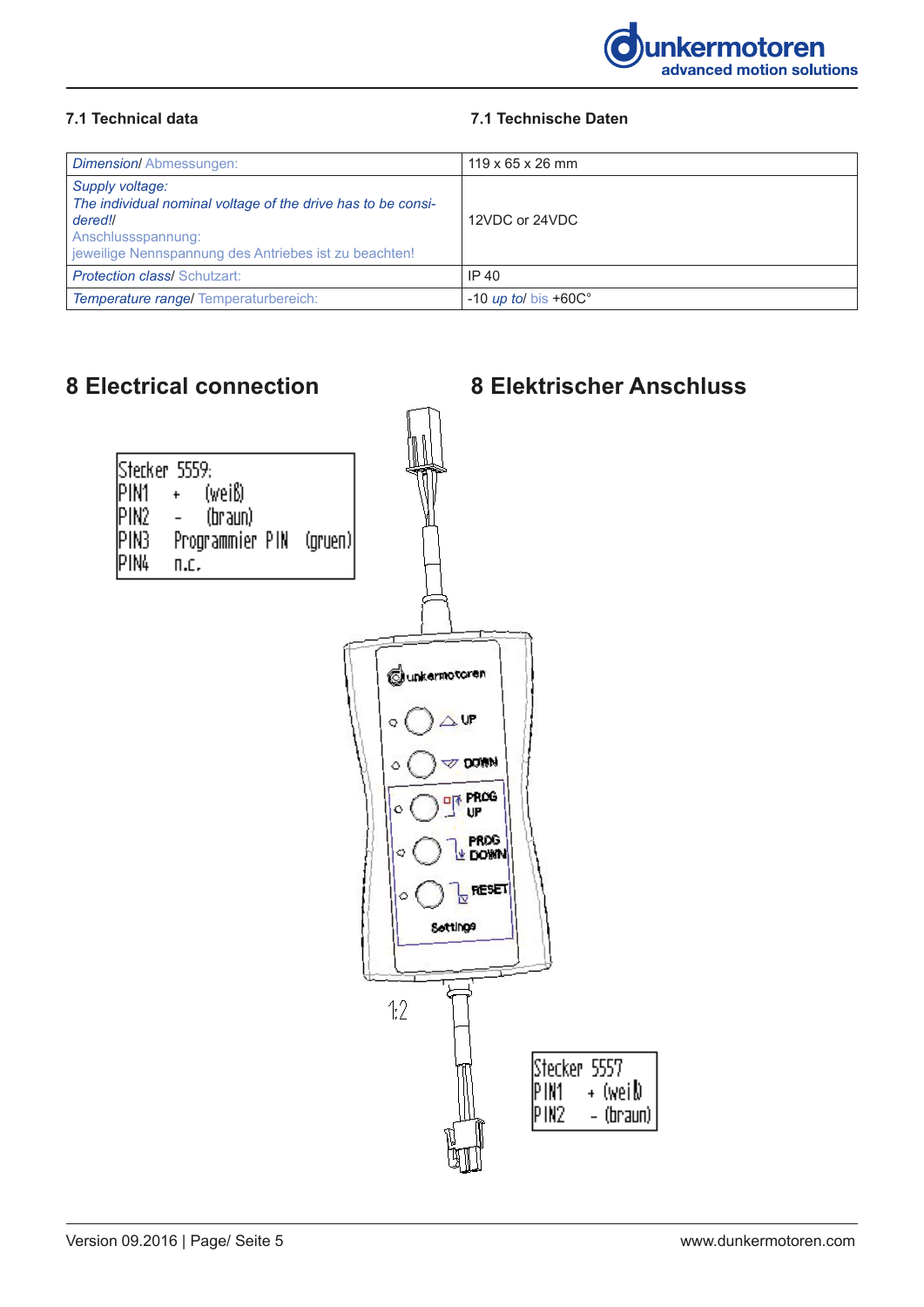

PIN1

PIN2

(PIN3

PIN4

### **7.1 Technical data 7.1 Technische Daten**

| <b>Dimension/Abmessungen:</b>                                                                                                                                             | $119 \times 65 \times 26$ mm    |
|---------------------------------------------------------------------------------------------------------------------------------------------------------------------------|---------------------------------|
| Supply voltage:<br>The individual nominal voltage of the drive has to be consi-<br>dered!/<br>Anschlussspannung:<br>jeweilige Nennspannung des Antriebes ist zu beachten! | 12VDC or 24VDC                  |
| <b>Protection class/ Schutzart:</b>                                                                                                                                       | IP $40$                         |
| Temperature range/ Temperaturbereich:                                                                                                                                     | $-10$ up to/ bis $+60C^{\circ}$ |



# **8 Electrical connection 8 Elektrischer Anschluss**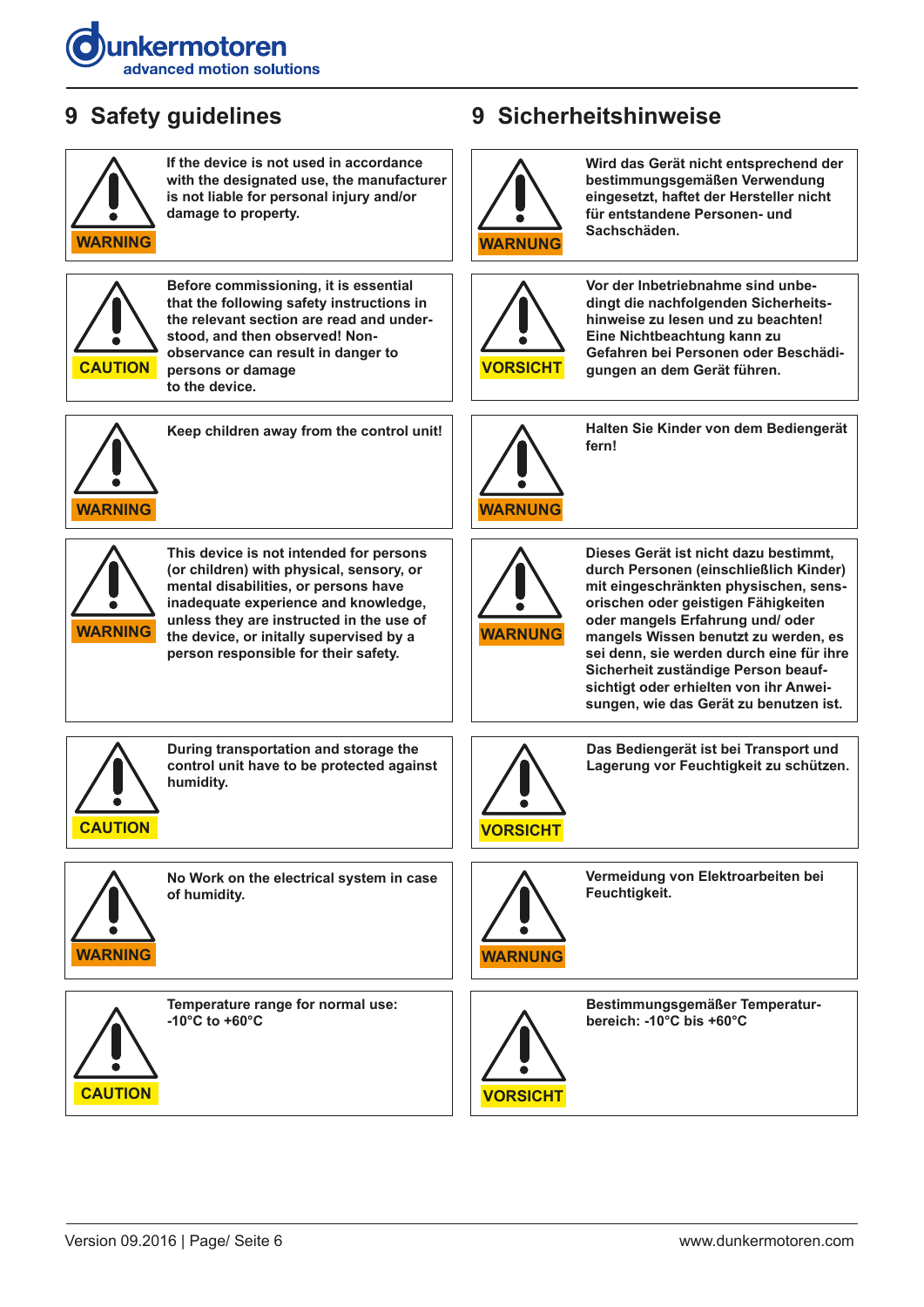



**If the device is not used in accordance with the designated use, the manufacturer is not liable for personal injury and/or damage to property.**



 $\begin{array}{|c|c|c|}\hline \textbf{CAUTION} & \textbf{persons or damage} & \textbf{M1} & \textbf{N1} & \textbf{N2} & \textbf{N3} \ \hline \end{array}$ **Before commissioning, it is essential that the following safety instructions in the relevant section are read and understood, and then observed! Nonobservance can result in danger to to the device.**



**Keep children away from the control unit!**



**This device is not intended for persons (or children) with physical, sensory, or mental disabilities, or persons have inadequate experience and knowledge, unless they are instructed in the use of the device, or initally supervised by a person responsible for their safety.**

# **9 Safety guidelines 9 Sicherheitshinweise**



**Wird das Gerät nicht entsprechend der bestimmungsgemäßen Verwendung eingesetzt, haftet der Hersteller nicht für entstandene Personen- und Sachschäden.**



**Vor der Inbetriebnahme sind unbedingt die nachfolgenden Sicherheitshinweise zu lesen und zu beachten! Eine Nichtbeachtung kann zu Gefahren bei Personen oder Beschädigungen an dem Gerät führen.**



**Halten Sie Kinder von dem Bediengerät fern!**



**Dieses Gerät ist nicht dazu bestimmt, durch Personen (einschließlich Kinder) mit eingeschränkten physischen, sensorischen oder geistigen Fähigkeiten oder mangels Erfahrung und/ oder mangels Wissen benutzt zu werden, es sei denn, sie werden durch eine für ihre Sicherheit zuständige Person beaufsichtigt oder erhielten von ihr Anweisungen, wie das Gerät zu benutzen ist.**



**During transportation and storage the control unit have to be protected against humidity.**



**No Work on the electrical system in case of humidity.**

**Temperature range for normal use: -10°C to +60°C**



**Das Bediengerät ist bei Transport und Lagerung vor Feuchtigkeit zu schützen.**



**Vermeidung von Elektroarbeiten bei Feuchtigkeit.**

**Bestimmungsgemäßer Temperaturbereich: -10°C bis +60°C**

**CAUTION NOTICE NOTICE HISTORICAL INTERFERIES AND <b>NOTICE**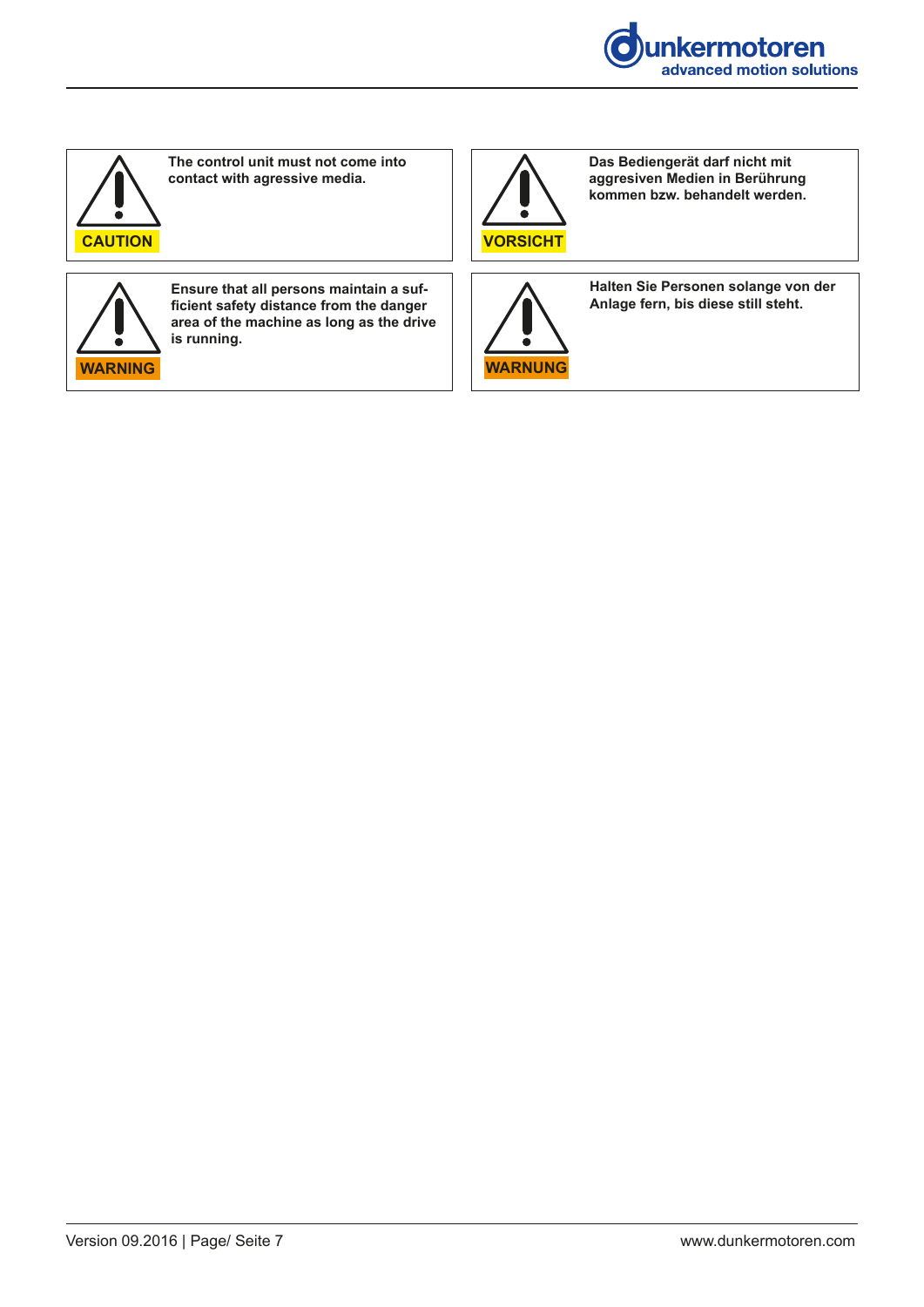



**The control unit must not come into contact with agressive media.**

**CAUTION NOTICE HISTORIC <b>HISTORIC ACCEPT** 

**Das Bediengerät darf nicht mit aggresiven Medien in Berührung kommen bzw. behandelt werden.**



**Ensure that all persons maintain a sufficient safety distance from the danger area of the machine as long as the drive is running.**



**Halten Sie Personen solange von der Anlage fern, bis diese still steht.**